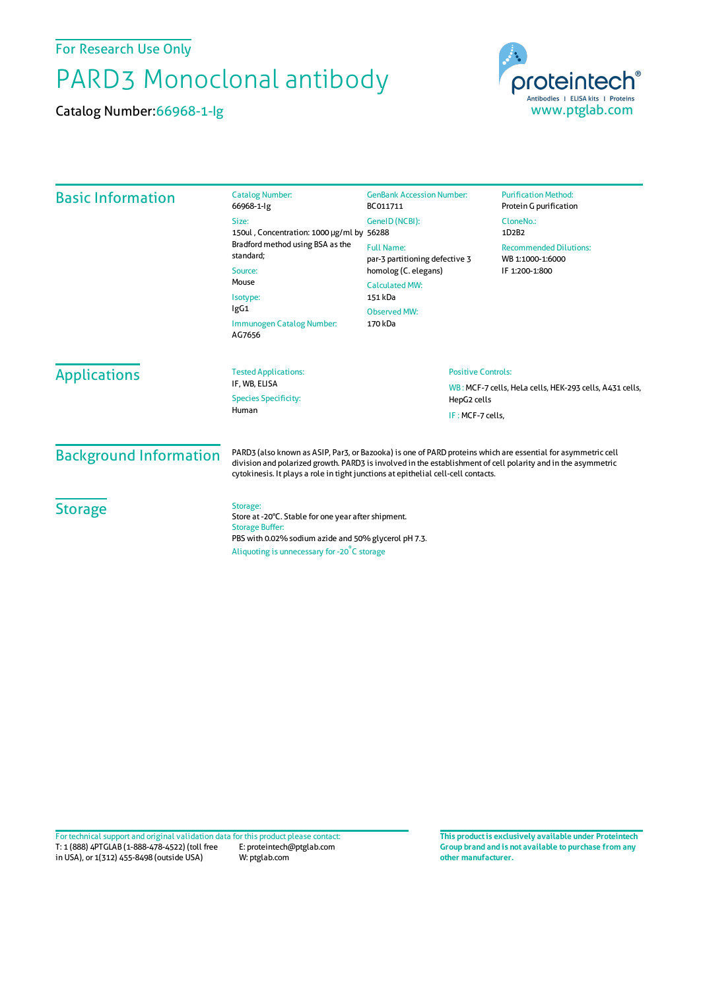For Research Use Only

## PARD3 Monoclonal antibody

Catalog Number:66968-1-Ig



| <b>Basic Information</b>      | <b>Catalog Number:</b><br>66968-1-lg                                                                                                                                                                                                                                                                              | <b>GenBank Accession Number:</b><br>BC011711                                                         | <b>Purification Method:</b><br>Protein G purification                  |  |
|-------------------------------|-------------------------------------------------------------------------------------------------------------------------------------------------------------------------------------------------------------------------------------------------------------------------------------------------------------------|------------------------------------------------------------------------------------------------------|------------------------------------------------------------------------|--|
|                               | Size:<br>150ul, Concentration: 1000 µg/ml by 56288<br>Bradford method using BSA as the<br>standard:<br>Source:<br>Mouse<br>Isotype:<br>lgG1<br>Immunogen Catalog Number:<br>AG7656                                                                                                                                | GeneID (NCBI):                                                                                       | CloneNo.:<br>1D2B2                                                     |  |
|                               |                                                                                                                                                                                                                                                                                                                   | <b>Full Name:</b><br>par-3 partitioning defective 3<br>homolog (C. elegans)<br><b>Calculated MW:</b> | <b>Recommended Dilutions:</b><br>WB 1:1000-1:6000                      |  |
|                               |                                                                                                                                                                                                                                                                                                                   |                                                                                                      | IF 1:200-1:800                                                         |  |
|                               |                                                                                                                                                                                                                                                                                                                   | 151 kDa                                                                                              |                                                                        |  |
|                               |                                                                                                                                                                                                                                                                                                                   | <b>Observed MW:</b>                                                                                  |                                                                        |  |
|                               |                                                                                                                                                                                                                                                                                                                   | 170 kDa                                                                                              |                                                                        |  |
| <b>Applications</b>           | <b>Tested Applications:</b><br>IF. WB. ELISA                                                                                                                                                                                                                                                                      | <b>Positive Controls:</b>                                                                            |                                                                        |  |
|                               | <b>Species Specificity:</b>                                                                                                                                                                                                                                                                                       |                                                                                                      | WB: MCF-7 cells, HeLa cells, HEK-293 cells, A431 cells,<br>HepG2 cells |  |
|                               | Human                                                                                                                                                                                                                                                                                                             | IF: MCF-7 cells,                                                                                     |                                                                        |  |
| <b>Background Information</b> | PARD3 (also known as ASIP, Par3, or Bazooka) is one of PARD proteins which are essential for asymmetric cell<br>division and polarized growth. PARD3 is involved in the establishment of cell polarity and in the asymmetric<br>cytokinesis. It plays a role in tight junctions at epithelial cell-cell contacts. |                                                                                                      |                                                                        |  |
| <b>Storage</b>                | Storage:<br>Store at -20°C. Stable for one year after shipment.<br><b>Storage Buffer:</b><br>PBS with 0.02% sodium azide and 50% glycerol pH 7.3.<br>Aliquoting is unnecessary for -20°C storage                                                                                                                  |                                                                                                      |                                                                        |  |

T: 1 (888) 4PTGLAB (1-888-478-4522) (toll free in USA), or 1(312) 455-8498 (outside USA) E: proteintech@ptglab.com W: ptglab.com Fortechnical support and original validation data forthis product please contact: **This productis exclusively available under Proteintech**

**Group brand and is not available to purchase from any other manufacturer.**